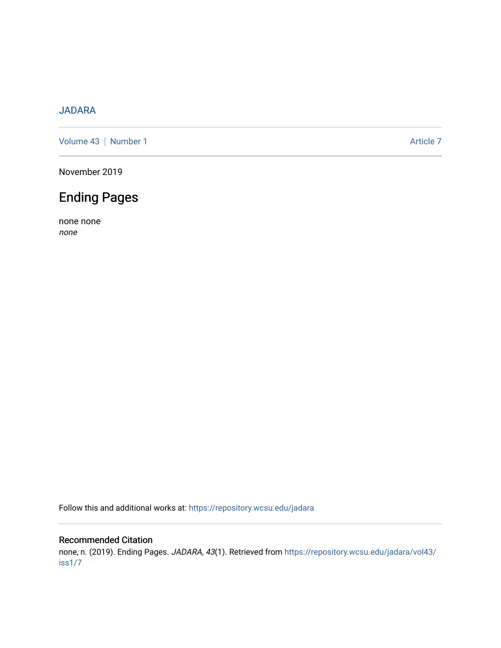## [JADARA](https://repository.wcsu.edu/jadara)

[Volume 43](https://repository.wcsu.edu/jadara/vol43) | [Number 1](https://repository.wcsu.edu/jadara/vol43/iss1) Article 7

November 2019

# Ending Pages

none none none

Follow this and additional works at: [https://repository.wcsu.edu/jadara](https://repository.wcsu.edu/jadara?utm_source=repository.wcsu.edu%2Fjadara%2Fvol43%2Fiss1%2F7&utm_medium=PDF&utm_campaign=PDFCoverPages)

### Recommended Citation

none, n. (2019). Ending Pages. JADARA, 43(1). Retrieved from [https://repository.wcsu.edu/jadara/vol43/](https://repository.wcsu.edu/jadara/vol43/iss1/7?utm_source=repository.wcsu.edu%2Fjadara%2Fvol43%2Fiss1%2F7&utm_medium=PDF&utm_campaign=PDFCoverPages) [iss1/7](https://repository.wcsu.edu/jadara/vol43/iss1/7?utm_source=repository.wcsu.edu%2Fjadara%2Fvol43%2Fiss1%2F7&utm_medium=PDF&utm_campaign=PDFCoverPages)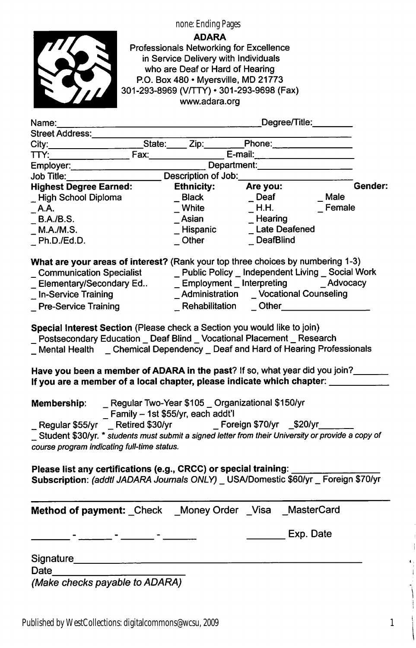

ADARA Professionals Networking for Excellence in Service Delivery with individuals who are Deaf or Hard of Hearing P.O. Box 480 • Myersville, MD 21773 301-293-8969 (V/TTY) • 301-293-9698 (Fax) www.adara.org

none: Ending Pages

| Name:                                                                                                                                                                                                                                                                                                                |                     | Degree/Title:_______                                                                                                                                     |             |
|----------------------------------------------------------------------------------------------------------------------------------------------------------------------------------------------------------------------------------------------------------------------------------------------------------------------|---------------------|----------------------------------------------------------------------------------------------------------------------------------------------------------|-------------|
| Street Address: National Address:                                                                                                                                                                                                                                                                                    |                     |                                                                                                                                                          |             |
|                                                                                                                                                                                                                                                                                                                      | State: Zip:         | Phone: 2008                                                                                                                                              |             |
| TTY:                                                                                                                                                                                                                                                                                                                 |                     | Fax: E-mail: E-mail:                                                                                                                                     |             |
| Employer:                                                                                                                                                                                                                                                                                                            |                     | Department: Department:                                                                                                                                  |             |
| Job Title:                                                                                                                                                                                                                                                                                                           | Description of Job: |                                                                                                                                                          |             |
| <b>Highest Degree Earned:</b>                                                                                                                                                                                                                                                                                        | <b>Ethnicity:</b>   | Are you:                                                                                                                                                 | Gender:     |
| _High School Diploma                                                                                                                                                                                                                                                                                                 | _ Black<br>_ White  | $\sqrt{ }$ Deaf                                                                                                                                          | <b>Male</b> |
| <b>A.A.</b>                                                                                                                                                                                                                                                                                                          |                     | H.H.                                                                                                                                                     | $E$ Female  |
| B.A./B.S.                                                                                                                                                                                                                                                                                                            | Asian               | $\_$ Hearing                                                                                                                                             |             |
| M.A./M.S.                                                                                                                                                                                                                                                                                                            | _ Hispanic          | _ Late Deafened                                                                                                                                          |             |
| $\_$ Ph.D./Ed.D.                                                                                                                                                                                                                                                                                                     | $\_$ Other $\_$     | _DeafBlind                                                                                                                                               |             |
| What are your areas of interest? (Rank your top three choices by numbering 1-3)                                                                                                                                                                                                                                      |                     |                                                                                                                                                          |             |
|                                                                                                                                                                                                                                                                                                                      |                     |                                                                                                                                                          |             |
|                                                                                                                                                                                                                                                                                                                      |                     |                                                                                                                                                          |             |
| In-Service Training                                                                                                                                                                                                                                                                                                  |                     | <b>_Administration</b> __Vocational Counseling                                                                                                           |             |
| Pre-Service Training                                                                                                                                                                                                                                                                                                 |                     | Rehabilitation Other Communication                                                                                                                       |             |
| Postsecondary Education  Deaf Blind  Vocational Placement  Research<br>_Mental Health _ Chemical Dependency _ Deaf and Hard of Hearing Professionals<br>Have you been a member of ADARA in the past? If so, what year did you join?<br>If you are a member of a local chapter, please indicate which chapter: ______ |                     |                                                                                                                                                          |             |
| Membership:<br>Regular \$55/yr<br>Student \$30/yr. * students must submit a signed letter from their University or provide a copy of<br>course program indicating full-time status.                                                                                                                                  |                     | _ Regular Two-Year \$105 _ Organizational \$150/yr<br>_ Family - 1st \$55/yr, each addt'l<br>_ Retired \$30/yr ________ Foreign \$70/yr __\$20/yr_______ |             |
| Please list any certifications (e.g., CRCC) or special training:<br>Subscription: (addtl JADARA Journals ONLY) _ USA/Domestic \$60/yr _ Foreign \$70/yr                                                                                                                                                              |                     |                                                                                                                                                          |             |
| Method of payment: Check _Money Order _Visa _MasterCard                                                                                                                                                                                                                                                              |                     |                                                                                                                                                          |             |
|                                                                                                                                                                                                                                                                                                                      |                     | <b>Exp. Date</b>                                                                                                                                         |             |
| Signature<br>Date                                                                                                                                                                                                                                                                                                    |                     |                                                                                                                                                          |             |

(Make checks payable to ADARA)

1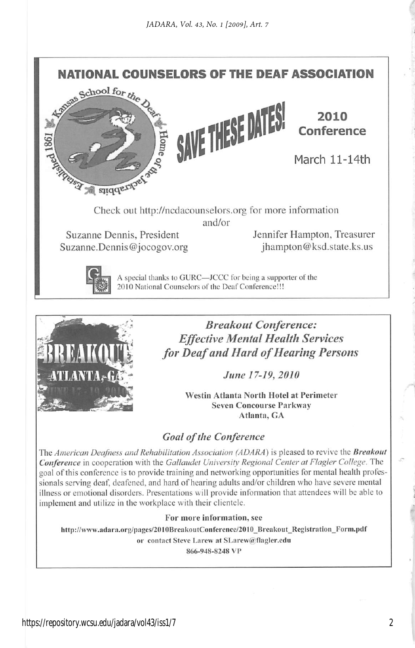

Suzanne Dennis. President Jennifer Hampton, Treasurer Suzanne.Dennis@jocogov.org jhampton@ksd.state.ks.us

A special thanks to GURC—JCCC for being a supporter of the 2010 National Counselors of the Deaf Conference!!!



Breakout Conference: Effective Mental Health Services for Deaf and Hard of Hearing Persons

June 17-19, 2010

Westin Atlanta North Hotel at Perimeter Seven Concourse Parkway Atlanta, GA

#### Goal of the Conference

The American Deafness and Rehabilitation Association (ADARA) is pleased to revive the Breakout Conference in cooperation with the Gallaudet University Regional Center at Flagler College. The goal of this conference is to provide training and networking opportunities for mental health profes sionals serving deaf, deafened, and hard of hearing adults and/or children who have severe mental illness or emotional disorders. Presentations will provide information that attendees will be able to implement and utilize in the workplace with their clientele.

#### For more information, see

http://www.adara.org/pages/2010BreakoutConference/2010 Breakout Registration\_Form.pdf or contact Steve Larew at SLarew@flagler.edu

866-948-8248 VP